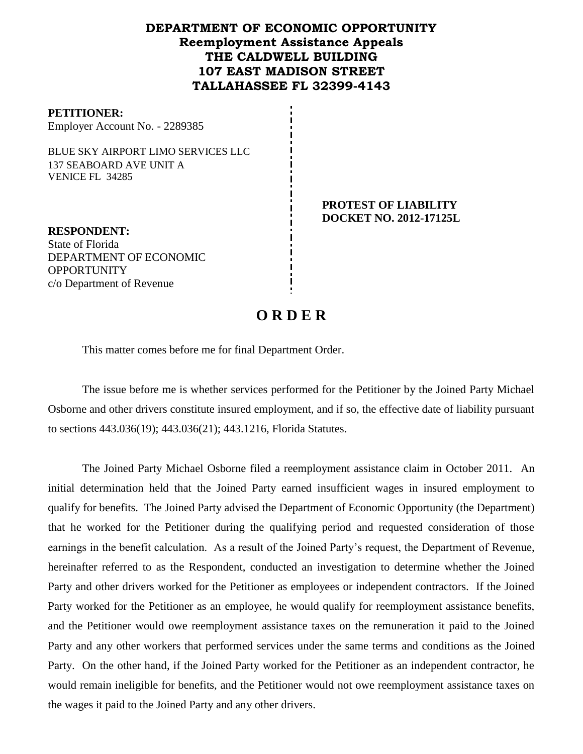## **DEPARTMENT OF ECONOMIC OPPORTUNITY Reemployment Assistance Appeals THE CALDWELL BUILDING 107 EAST MADISON STREET TALLAHASSEE FL 32399-4143**

#### **PETITIONER:**

Employer Account No. - 2289385

BLUE SKY AIRPORT LIMO SERVICES LLC 137 SEABOARD AVE UNIT A VENICE FL 34285

> **PROTEST OF LIABILITY DOCKET NO. 2012-17125L**

**RESPONDENT:** State of Florida DEPARTMENT OF ECONOMIC **OPPORTUNITY** c/o Department of Revenue

# **O R D E R**

This matter comes before me for final Department Order.

The issue before me is whether services performed for the Petitioner by the Joined Party Michael Osborne and other drivers constitute insured employment, and if so, the effective date of liability pursuant to sections 443.036(19); 443.036(21); 443.1216, Florida Statutes.

The Joined Party Michael Osborne filed a reemployment assistance claim in October 2011.An initial determination held that the Joined Party earned insufficient wages in insured employment to qualify for benefits. The Joined Party advised the Department of Economic Opportunity (the Department) that he worked for the Petitioner during the qualifying period and requested consideration of those earnings in the benefit calculation. As a result of the Joined Party's request, the Department of Revenue, hereinafter referred to as the Respondent, conducted an investigation to determine whether the Joined Party and other drivers worked for the Petitioner as employees or independent contractors. If the Joined Party worked for the Petitioner as an employee, he would qualify for reemployment assistance benefits, and the Petitioner would owe reemployment assistance taxes on the remuneration it paid to the Joined Party and any other workers that performed services under the same terms and conditions as the Joined Party. On the other hand, if the Joined Party worked for the Petitioner as an independent contractor, he would remain ineligible for benefits, and the Petitioner would not owe reemployment assistance taxes on the wages it paid to the Joined Party and any other drivers.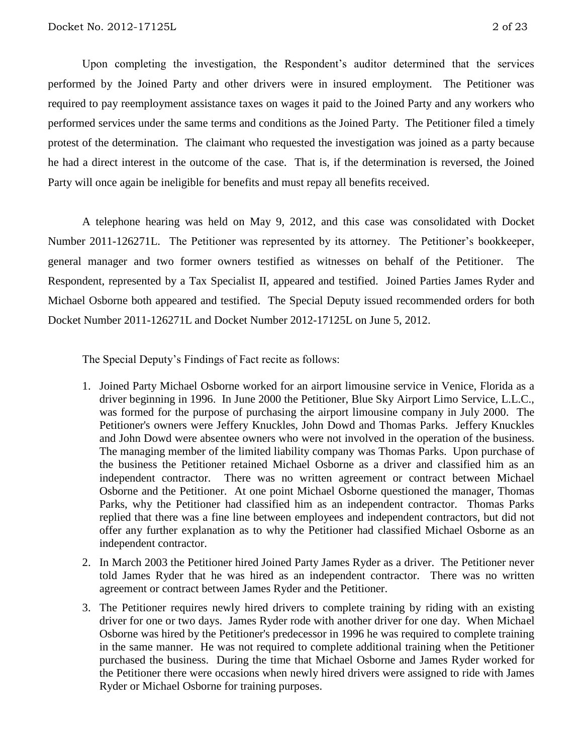Upon completing the investigation, the Respondent's auditor determined that the services performed by the Joined Party and other drivers were in insured employment. The Petitioner was required to pay reemployment assistance taxes on wages it paid to the Joined Party and any workers who performed services under the same terms and conditions as the Joined Party.The Petitioner filed a timely protest of the determination.The claimant who requested the investigation was joined as a party because he had a direct interest in the outcome of the case. That is, if the determination is reversed, the Joined Party will once again be ineligible for benefits and must repay all benefits received.

A telephone hearing was held on May 9, 2012, and this case was consolidated with Docket Number 2011-126271L.The Petitioner was represented by its attorney. The Petitioner's bookkeeper, general manager and two former owners testified as witnesses on behalf of the Petitioner. The Respondent, represented by a Tax Specialist II, appeared and testified. Joined Parties James Ryder and Michael Osborne both appeared and testified. The Special Deputy issued recommended orders for both Docket Number 2011-126271L and Docket Number 2012-17125L on June 5, 2012.

The Special Deputy's Findings of Fact recite as follows:

- 1. Joined Party Michael Osborne worked for an airport limousine service in Venice, Florida as a driver beginning in 1996. In June 2000 the Petitioner, Blue Sky Airport Limo Service, L.L.C., was formed for the purpose of purchasing the airport limousine company in July 2000. The Petitioner's owners were Jeffery Knuckles, John Dowd and Thomas Parks. Jeffery Knuckles and John Dowd were absentee owners who were not involved in the operation of the business. The managing member of the limited liability company was Thomas Parks. Upon purchase of the business the Petitioner retained Michael Osborne as a driver and classified him as an independent contractor. There was no written agreement or contract between Michael Osborne and the Petitioner. At one point Michael Osborne questioned the manager, Thomas Parks, why the Petitioner had classified him as an independent contractor. Thomas Parks replied that there was a fine line between employees and independent contractors, but did not offer any further explanation as to why the Petitioner had classified Michael Osborne as an independent contractor.
- 2. In March 2003 the Petitioner hired Joined Party James Ryder as a driver. The Petitioner never told James Ryder that he was hired as an independent contractor. There was no written agreement or contract between James Ryder and the Petitioner.
- 3. The Petitioner requires newly hired drivers to complete training by riding with an existing driver for one or two days. James Ryder rode with another driver for one day. When Michael Osborne was hired by the Petitioner's predecessor in 1996 he was required to complete training in the same manner. He was not required to complete additional training when the Petitioner purchased the business. During the time that Michael Osborne and James Ryder worked for the Petitioner there were occasions when newly hired drivers were assigned to ride with James Ryder or Michael Osborne for training purposes.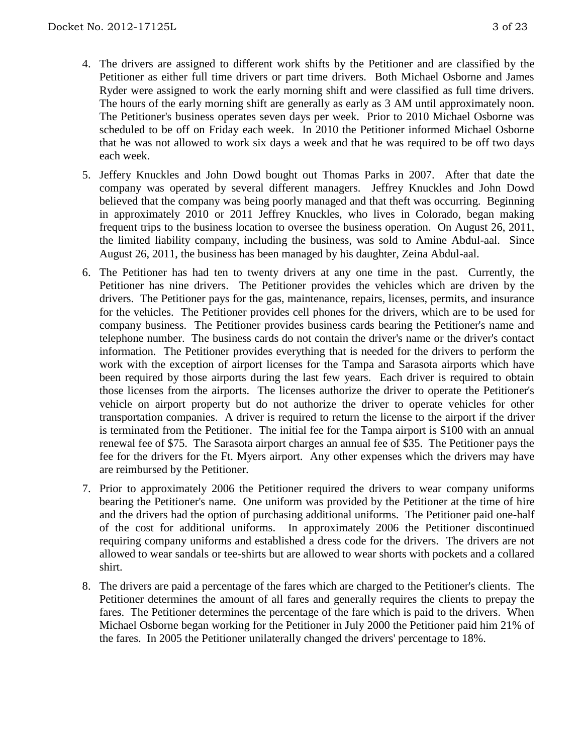- 4. The drivers are assigned to different work shifts by the Petitioner and are classified by the Petitioner as either full time drivers or part time drivers. Both Michael Osborne and James Ryder were assigned to work the early morning shift and were classified as full time drivers. The hours of the early morning shift are generally as early as 3 AM until approximately noon. The Petitioner's business operates seven days per week. Prior to 2010 Michael Osborne was scheduled to be off on Friday each week. In 2010 the Petitioner informed Michael Osborne that he was not allowed to work six days a week and that he was required to be off two days each week.
- 5. Jeffery Knuckles and John Dowd bought out Thomas Parks in 2007. After that date the company was operated by several different managers. Jeffrey Knuckles and John Dowd believed that the company was being poorly managed and that theft was occurring. Beginning in approximately 2010 or 2011 Jeffrey Knuckles, who lives in Colorado, began making frequent trips to the business location to oversee the business operation. On August 26, 2011, the limited liability company, including the business, was sold to Amine Abdul-aal. Since August 26, 2011, the business has been managed by his daughter, Zeina Abdul-aal.
- 6. The Petitioner has had ten to twenty drivers at any one time in the past. Currently, the Petitioner has nine drivers. The Petitioner provides the vehicles which are driven by the drivers. The Petitioner pays for the gas, maintenance, repairs, licenses, permits, and insurance for the vehicles. The Petitioner provides cell phones for the drivers, which are to be used for company business. The Petitioner provides business cards bearing the Petitioner's name and telephone number. The business cards do not contain the driver's name or the driver's contact information. The Petitioner provides everything that is needed for the drivers to perform the work with the exception of airport licenses for the Tampa and Sarasota airports which have been required by those airports during the last few years. Each driver is required to obtain those licenses from the airports. The licenses authorize the driver to operate the Petitioner's vehicle on airport property but do not authorize the driver to operate vehicles for other transportation companies. A driver is required to return the license to the airport if the driver is terminated from the Petitioner. The initial fee for the Tampa airport is \$100 with an annual renewal fee of \$75. The Sarasota airport charges an annual fee of \$35. The Petitioner pays the fee for the drivers for the Ft. Myers airport. Any other expenses which the drivers may have are reimbursed by the Petitioner.
- 7. Prior to approximately 2006 the Petitioner required the drivers to wear company uniforms bearing the Petitioner's name. One uniform was provided by the Petitioner at the time of hire and the drivers had the option of purchasing additional uniforms. The Petitioner paid one-half of the cost for additional uniforms. In approximately 2006 the Petitioner discontinued requiring company uniforms and established a dress code for the drivers. The drivers are not allowed to wear sandals or tee-shirts but are allowed to wear shorts with pockets and a collared shirt.
- 8. The drivers are paid a percentage of the fares which are charged to the Petitioner's clients. The Petitioner determines the amount of all fares and generally requires the clients to prepay the fares. The Petitioner determines the percentage of the fare which is paid to the drivers. When Michael Osborne began working for the Petitioner in July 2000 the Petitioner paid him 21% of the fares. In 2005 the Petitioner unilaterally changed the drivers' percentage to 18%.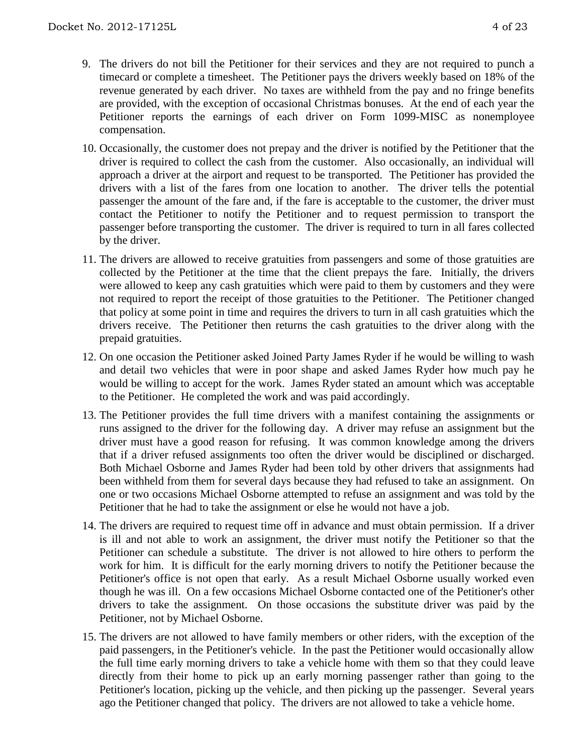- 9. The drivers do not bill the Petitioner for their services and they are not required to punch a timecard or complete a timesheet. The Petitioner pays the drivers weekly based on 18% of the revenue generated by each driver. No taxes are withheld from the pay and no fringe benefits are provided, with the exception of occasional Christmas bonuses. At the end of each year the Petitioner reports the earnings of each driver on Form 1099-MISC as nonemployee compensation.
- 10. Occasionally, the customer does not prepay and the driver is notified by the Petitioner that the driver is required to collect the cash from the customer. Also occasionally, an individual will approach a driver at the airport and request to be transported. The Petitioner has provided the drivers with a list of the fares from one location to another. The driver tells the potential passenger the amount of the fare and, if the fare is acceptable to the customer, the driver must contact the Petitioner to notify the Petitioner and to request permission to transport the passenger before transporting the customer. The driver is required to turn in all fares collected by the driver.
- 11. The drivers are allowed to receive gratuities from passengers and some of those gratuities are collected by the Petitioner at the time that the client prepays the fare. Initially, the drivers were allowed to keep any cash gratuities which were paid to them by customers and they were not required to report the receipt of those gratuities to the Petitioner. The Petitioner changed that policy at some point in time and requires the drivers to turn in all cash gratuities which the drivers receive. The Petitioner then returns the cash gratuities to the driver along with the prepaid gratuities.
- 12. On one occasion the Petitioner asked Joined Party James Ryder if he would be willing to wash and detail two vehicles that were in poor shape and asked James Ryder how much pay he would be willing to accept for the work. James Ryder stated an amount which was acceptable to the Petitioner. He completed the work and was paid accordingly.
- 13. The Petitioner provides the full time drivers with a manifest containing the assignments or runs assigned to the driver for the following day. A driver may refuse an assignment but the driver must have a good reason for refusing. It was common knowledge among the drivers that if a driver refused assignments too often the driver would be disciplined or discharged. Both Michael Osborne and James Ryder had been told by other drivers that assignments had been withheld from them for several days because they had refused to take an assignment. On one or two occasions Michael Osborne attempted to refuse an assignment and was told by the Petitioner that he had to take the assignment or else he would not have a job.
- 14. The drivers are required to request time off in advance and must obtain permission. If a driver is ill and not able to work an assignment, the driver must notify the Petitioner so that the Petitioner can schedule a substitute. The driver is not allowed to hire others to perform the work for him. It is difficult for the early morning drivers to notify the Petitioner because the Petitioner's office is not open that early. As a result Michael Osborne usually worked even though he was ill. On a few occasions Michael Osborne contacted one of the Petitioner's other drivers to take the assignment. On those occasions the substitute driver was paid by the Petitioner, not by Michael Osborne.
- 15. The drivers are not allowed to have family members or other riders, with the exception of the paid passengers, in the Petitioner's vehicle. In the past the Petitioner would occasionally allow the full time early morning drivers to take a vehicle home with them so that they could leave directly from their home to pick up an early morning passenger rather than going to the Petitioner's location, picking up the vehicle, and then picking up the passenger. Several years ago the Petitioner changed that policy. The drivers are not allowed to take a vehicle home.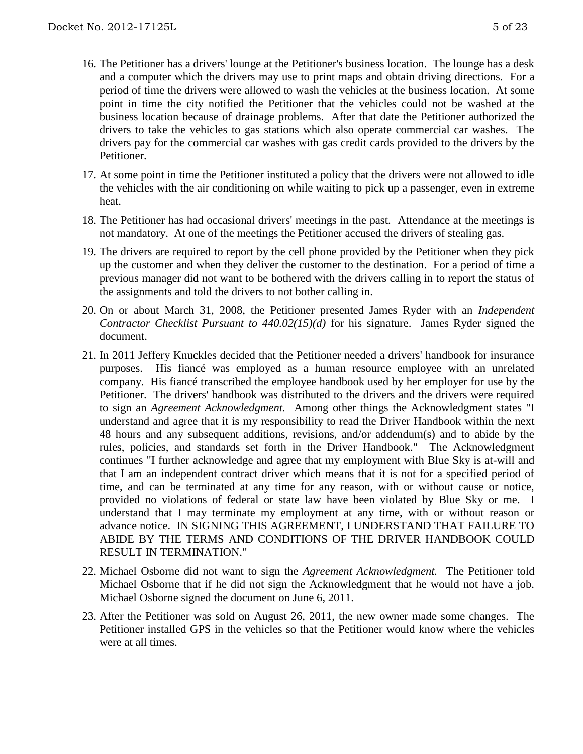- 16. The Petitioner has a drivers' lounge at the Petitioner's business location. The lounge has a desk and a computer which the drivers may use to print maps and obtain driving directions. For a period of time the drivers were allowed to wash the vehicles at the business location. At some point in time the city notified the Petitioner that the vehicles could not be washed at the business location because of drainage problems. After that date the Petitioner authorized the drivers to take the vehicles to gas stations which also operate commercial car washes. The drivers pay for the commercial car washes with gas credit cards provided to the drivers by the Petitioner.
- 17. At some point in time the Petitioner instituted a policy that the drivers were not allowed to idle the vehicles with the air conditioning on while waiting to pick up a passenger, even in extreme heat.
- 18. The Petitioner has had occasional drivers' meetings in the past. Attendance at the meetings is not mandatory. At one of the meetings the Petitioner accused the drivers of stealing gas.
- 19. The drivers are required to report by the cell phone provided by the Petitioner when they pick up the customer and when they deliver the customer to the destination. For a period of time a previous manager did not want to be bothered with the drivers calling in to report the status of the assignments and told the drivers to not bother calling in.
- 20. On or about March 31, 2008, the Petitioner presented James Ryder with an *Independent Contractor Checklist Pursuant to 440.02(15)(d)* for his signature. James Ryder signed the document.
- 21. In 2011 Jeffery Knuckles decided that the Petitioner needed a drivers' handbook for insurance purposes. His fiancé was employed as a human resource employee with an unrelated company. His fiancé transcribed the employee handbook used by her employer for use by the Petitioner. The drivers' handbook was distributed to the drivers and the drivers were required to sign an *Agreement Acknowledgment.* Among other things the Acknowledgment states "I understand and agree that it is my responsibility to read the Driver Handbook within the next 48 hours and any subsequent additions, revisions, and/or addendum(s) and to abide by the rules, policies, and standards set forth in the Driver Handbook." The Acknowledgment continues "I further acknowledge and agree that my employment with Blue Sky is at-will and that I am an independent contract driver which means that it is not for a specified period of time, and can be terminated at any time for any reason, with or without cause or notice, provided no violations of federal or state law have been violated by Blue Sky or me. I understand that I may terminate my employment at any time, with or without reason or advance notice. IN SIGNING THIS AGREEMENT, I UNDERSTAND THAT FAILURE TO ABIDE BY THE TERMS AND CONDITIONS OF THE DRIVER HANDBOOK COULD RESULT IN TERMINATION."
- 22. Michael Osborne did not want to sign the *Agreement Acknowledgment.* The Petitioner told Michael Osborne that if he did not sign the Acknowledgment that he would not have a job. Michael Osborne signed the document on June 6, 2011.
- 23. After the Petitioner was sold on August 26, 2011, the new owner made some changes. The Petitioner installed GPS in the vehicles so that the Petitioner would know where the vehicles were at all times.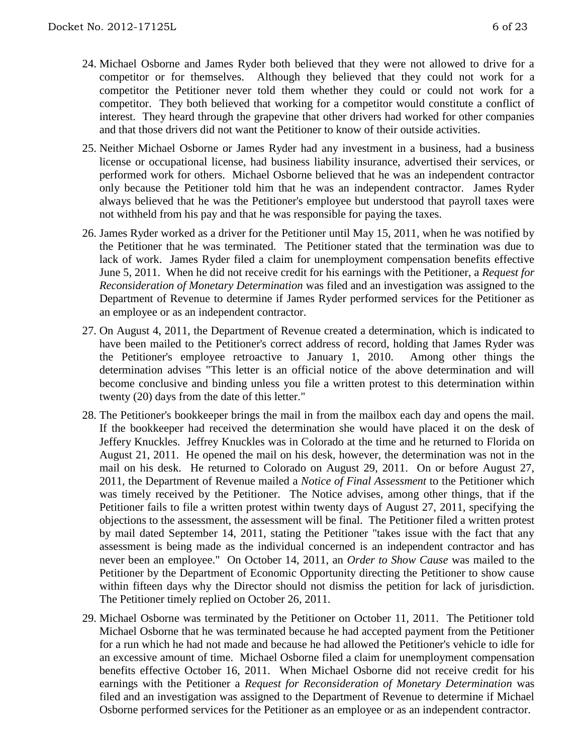- 24. Michael Osborne and James Ryder both believed that they were not allowed to drive for a competitor or for themselves. Although they believed that they could not work for a competitor the Petitioner never told them whether they could or could not work for a competitor. They both believed that working for a competitor would constitute a conflict of interest. They heard through the grapevine that other drivers had worked for other companies and that those drivers did not want the Petitioner to know of their outside activities.
- 25. Neither Michael Osborne or James Ryder had any investment in a business, had a business license or occupational license, had business liability insurance, advertised their services, or performed work for others. Michael Osborne believed that he was an independent contractor only because the Petitioner told him that he was an independent contractor. James Ryder always believed that he was the Petitioner's employee but understood that payroll taxes were not withheld from his pay and that he was responsible for paying the taxes.
- 26. James Ryder worked as a driver for the Petitioner until May 15, 2011, when he was notified by the Petitioner that he was terminated. The Petitioner stated that the termination was due to lack of work. James Ryder filed a claim for unemployment compensation benefits effective June 5, 2011. When he did not receive credit for his earnings with the Petitioner, a *Request for Reconsideration of Monetary Determination* was filed and an investigation was assigned to the Department of Revenue to determine if James Ryder performed services for the Petitioner as an employee or as an independent contractor.
- 27. On August 4, 2011, the Department of Revenue created a determination, which is indicated to have been mailed to the Petitioner's correct address of record, holding that James Ryder was the Petitioner's employee retroactive to January 1, 2010. Among other things the determination advises "This letter is an official notice of the above determination and will become conclusive and binding unless you file a written protest to this determination within twenty (20) days from the date of this letter."
- 28. The Petitioner's bookkeeper brings the mail in from the mailbox each day and opens the mail. If the bookkeeper had received the determination she would have placed it on the desk of Jeffery Knuckles. Jeffrey Knuckles was in Colorado at the time and he returned to Florida on August 21, 2011. He opened the mail on his desk, however, the determination was not in the mail on his desk. He returned to Colorado on August 29, 2011. On or before August 27, 2011, the Department of Revenue mailed a *Notice of Final Assessment* to the Petitioner which was timely received by the Petitioner. The Notice advises, among other things, that if the Petitioner fails to file a written protest within twenty days of August 27, 2011, specifying the objections to the assessment, the assessment will be final. The Petitioner filed a written protest by mail dated September 14, 2011, stating the Petitioner "takes issue with the fact that any assessment is being made as the individual concerned is an independent contractor and has never been an employee." On October 14, 2011, an *Order to Show Cause* was mailed to the Petitioner by the Department of Economic Opportunity directing the Petitioner to show cause within fifteen days why the Director should not dismiss the petition for lack of jurisdiction. The Petitioner timely replied on October 26, 2011.
- 29. Michael Osborne was terminated by the Petitioner on October 11, 2011. The Petitioner told Michael Osborne that he was terminated because he had accepted payment from the Petitioner for a run which he had not made and because he had allowed the Petitioner's vehicle to idle for an excessive amount of time. Michael Osborne filed a claim for unemployment compensation benefits effective October 16, 2011. When Michael Osborne did not receive credit for his earnings with the Petitioner a *Request for Reconsideration of Monetary Determination* was filed and an investigation was assigned to the Department of Revenue to determine if Michael Osborne performed services for the Petitioner as an employee or as an independent contractor.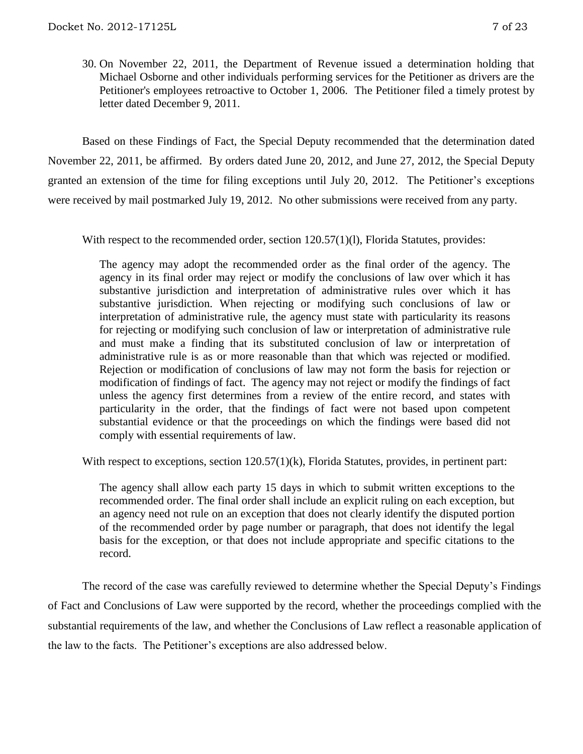30. On November 22, 2011, the Department of Revenue issued a determination holding that Michael Osborne and other individuals performing services for the Petitioner as drivers are the Petitioner's employees retroactive to October 1, 2006. The Petitioner filed a timely protest by letter dated December 9, 2011.

Based on these Findings of Fact, the Special Deputy recommended that the determination dated November 22, 2011, be affirmed. By orders dated June 20, 2012, and June 27, 2012, the Special Deputy granted an extension of the time for filing exceptions until July 20, 2012. The Petitioner's exceptions were received by mail postmarked July 19, 2012. No other submissions were received from any party.

With respect to the recommended order, section 120.57(1)(1), Florida Statutes, provides:

The agency may adopt the recommended order as the final order of the agency. The agency in its final order may reject or modify the conclusions of law over which it has substantive jurisdiction and interpretation of administrative rules over which it has substantive jurisdiction. When rejecting or modifying such conclusions of law or interpretation of administrative rule, the agency must state with particularity its reasons for rejecting or modifying such conclusion of law or interpretation of administrative rule and must make a finding that its substituted conclusion of law or interpretation of administrative rule is as or more reasonable than that which was rejected or modified. Rejection or modification of conclusions of law may not form the basis for rejection or modification of findings of fact. The agency may not reject or modify the findings of fact unless the agency first determines from a review of the entire record, and states with particularity in the order, that the findings of fact were not based upon competent substantial evidence or that the proceedings on which the findings were based did not comply with essential requirements of law.

With respect to exceptions, section 120.57(1)(k), Florida Statutes, provides, in pertinent part:

The agency shall allow each party 15 days in which to submit written exceptions to the recommended order. The final order shall include an explicit ruling on each exception, but an agency need not rule on an exception that does not clearly identify the disputed portion of the recommended order by page number or paragraph, that does not identify the legal basis for the exception, or that does not include appropriate and specific citations to the record.

The record of the case was carefully reviewed to determine whether the Special Deputy's Findings of Fact and Conclusions of Law were supported by the record, whether the proceedings complied with the substantial requirements of the law, and whether the Conclusions of Law reflect a reasonable application of the law to the facts. The Petitioner's exceptions are also addressed below.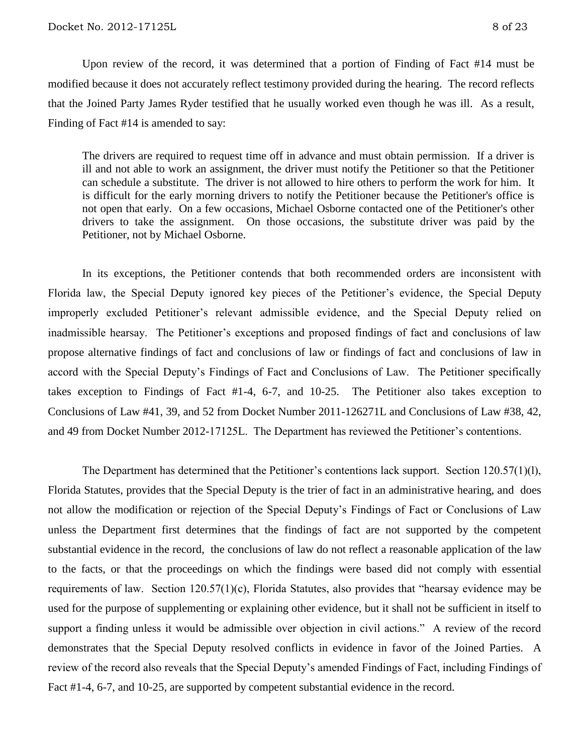Upon review of the record, it was determined that a portion of Finding of Fact #14 must be modified because it does not accurately reflect testimony provided during the hearing. The record reflects that the Joined Party James Ryder testified that he usually worked even though he was ill. As a result, Finding of Fact #14 is amended to say:

The drivers are required to request time off in advance and must obtain permission. If a driver is ill and not able to work an assignment, the driver must notify the Petitioner so that the Petitioner can schedule a substitute. The driver is not allowed to hire others to perform the work for him. It is difficult for the early morning drivers to notify the Petitioner because the Petitioner's office is not open that early. On a few occasions, Michael Osborne contacted one of the Petitioner's other drivers to take the assignment. On those occasions, the substitute driver was paid by the Petitioner, not by Michael Osborne.

In its exceptions, the Petitioner contends that both recommended orders are inconsistent with Florida law, the Special Deputy ignored key pieces of the Petitioner's evidence, the Special Deputy improperly excluded Petitioner's relevant admissible evidence, and the Special Deputy relied on inadmissible hearsay. The Petitioner's exceptions and proposed findings of fact and conclusions of law propose alternative findings of fact and conclusions of law or findings of fact and conclusions of law in accord with the Special Deputy's Findings of Fact and Conclusions of Law. The Petitioner specifically takes exception to Findings of Fact #1-4, 6-7, and 10-25. The Petitioner also takes exception to Conclusions of Law #41, 39, and 52 from Docket Number 2011-126271L and Conclusions of Law #38, 42, and 49 from Docket Number 2012-17125L. The Department has reviewed the Petitioner's contentions.

The Department has determined that the Petitioner's contentions lack support. Section 120.57(1)(l), Florida Statutes, provides that the Special Deputy is the trier of fact in an administrative hearing, and does not allow the modification or rejection of the Special Deputy's Findings of Fact or Conclusions of Law unless the Department first determines that the findings of fact are not supported by the competent substantial evidence in the record, the conclusions of law do not reflect a reasonable application of the law to the facts, or that the proceedings on which the findings were based did not comply with essential requirements of law. Section 120.57(1)(c), Florida Statutes, also provides that "hearsay evidence may be used for the purpose of supplementing or explaining other evidence, but it shall not be sufficient in itself to support a finding unless it would be admissible over objection in civil actions." A review of the record demonstrates that the Special Deputy resolved conflicts in evidence in favor of the Joined Parties. A review of the record also reveals that the Special Deputy's amended Findings of Fact, including Findings of Fact #1-4, 6-7, and 10-25, are supported by competent substantial evidence in the record.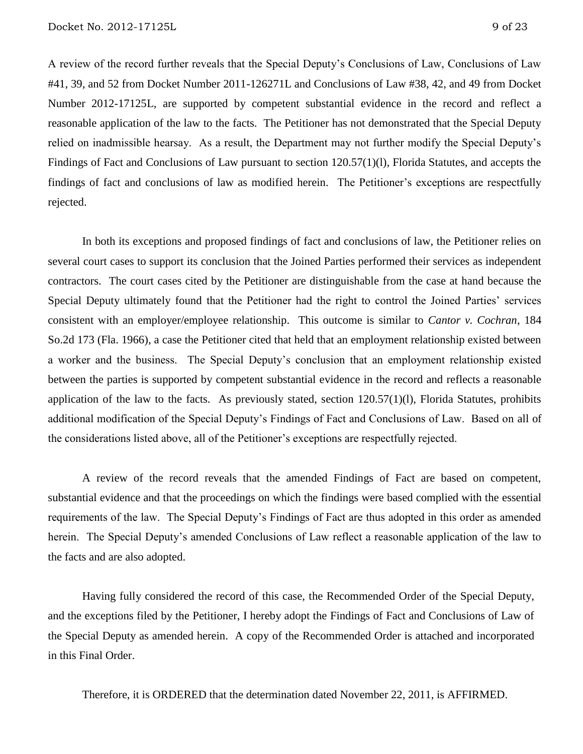A review of the record further reveals that the Special Deputy's Conclusions of Law, Conclusions of Law #41, 39, and 52 from Docket Number 2011-126271L and Conclusions of Law #38, 42, and 49 from Docket Number 2012-17125L, are supported by competent substantial evidence in the record and reflect a reasonable application of the law to the facts. The Petitioner has not demonstrated that the Special Deputy relied on inadmissible hearsay. As a result, the Department may not further modify the Special Deputy's Findings of Fact and Conclusions of Law pursuant to section 120.57(1)(l), Florida Statutes, and accepts the findings of fact and conclusions of law as modified herein. The Petitioner's exceptions are respectfully rejected.

In both its exceptions and proposed findings of fact and conclusions of law, the Petitioner relies on several court cases to support its conclusion that the Joined Parties performed their services as independent contractors. The court cases cited by the Petitioner are distinguishable from the case at hand because the Special Deputy ultimately found that the Petitioner had the right to control the Joined Parties' services consistent with an employer/employee relationship. This outcome is similar to *Cantor v. Cochran*, 184 So.2d 173 (Fla. 1966), a case the Petitioner cited that held that an employment relationship existed between a worker and the business. The Special Deputy's conclusion that an employment relationship existed between the parties is supported by competent substantial evidence in the record and reflects a reasonable application of the law to the facts. As previously stated, section  $120.57(1)(l)$ , Florida Statutes, prohibits additional modification of the Special Deputy's Findings of Fact and Conclusions of Law. Based on all of the considerations listed above, all of the Petitioner's exceptions are respectfully rejected.

A review of the record reveals that the amended Findings of Fact are based on competent, substantial evidence and that the proceedings on which the findings were based complied with the essential requirements of the law. The Special Deputy's Findings of Fact are thus adopted in this order as amended herein. The Special Deputy's amended Conclusions of Law reflect a reasonable application of the law to the facts and are also adopted.

Having fully considered the record of this case, the Recommended Order of the Special Deputy, and the exceptions filed by the Petitioner, I hereby adopt the Findings of Fact and Conclusions of Law of the Special Deputy as amended herein. A copy of the Recommended Order is attached and incorporated in this Final Order.

Therefore, it is ORDERED that the determination dated November 22, 2011, is AFFIRMED.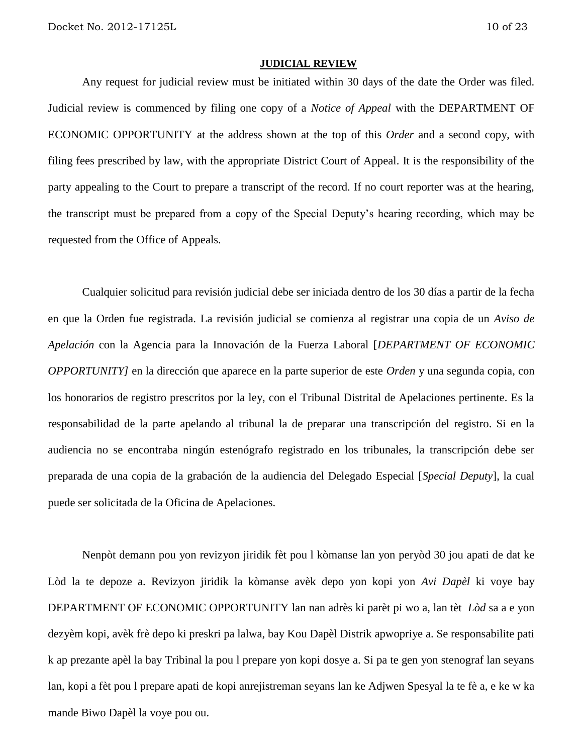#### **JUDICIAL REVIEW**

Any request for judicial review must be initiated within 30 days of the date the Order was filed. Judicial review is commenced by filing one copy of a *Notice of Appeal* with the DEPARTMENT OF ECONOMIC OPPORTUNITY at the address shown at the top of this *Order* and a second copy, with filing fees prescribed by law, with the appropriate District Court of Appeal. It is the responsibility of the party appealing to the Court to prepare a transcript of the record. If no court reporter was at the hearing, the transcript must be prepared from a copy of the Special Deputy's hearing recording, which may be requested from the Office of Appeals.

Cualquier solicitud para revisión judicial debe ser iniciada dentro de los 30 días a partir de la fecha en que la Orden fue registrada. La revisión judicial se comienza al registrar una copia de un *Aviso de Apelación* con la Agencia para la Innovación de la Fuerza Laboral [*DEPARTMENT OF ECONOMIC OPPORTUNITY]* en la dirección que aparece en la parte superior de este *Orden* y una segunda copia, con los honorarios de registro prescritos por la ley, con el Tribunal Distrital de Apelaciones pertinente. Es la responsabilidad de la parte apelando al tribunal la de preparar una transcripción del registro. Si en la audiencia no se encontraba ningún estenógrafo registrado en los tribunales, la transcripción debe ser preparada de una copia de la grabación de la audiencia del Delegado Especial [*Special Deputy*], la cual puede ser solicitada de la Oficina de Apelaciones.

Nenpòt demann pou yon revizyon jiridik fèt pou l kòmanse lan yon peryòd 30 jou apati de dat ke Lòd la te depoze a. Revizyon jiridik la kòmanse avèk depo yon kopi yon *Avi Dapèl* ki voye bay DEPARTMENT OF ECONOMIC OPPORTUNITY lan nan adrès ki parèt pi wo a, lan tèt *Lòd* sa a e yon dezyèm kopi, avèk frè depo ki preskri pa lalwa, bay Kou Dapèl Distrik apwopriye a. Se responsabilite pati k ap prezante apèl la bay Tribinal la pou l prepare yon kopi dosye a. Si pa te gen yon stenograf lan seyans lan, kopi a fèt pou l prepare apati de kopi anrejistreman seyans lan ke Adjwen Spesyal la te fè a, e ke w ka mande Biwo Dapèl la voye pou ou.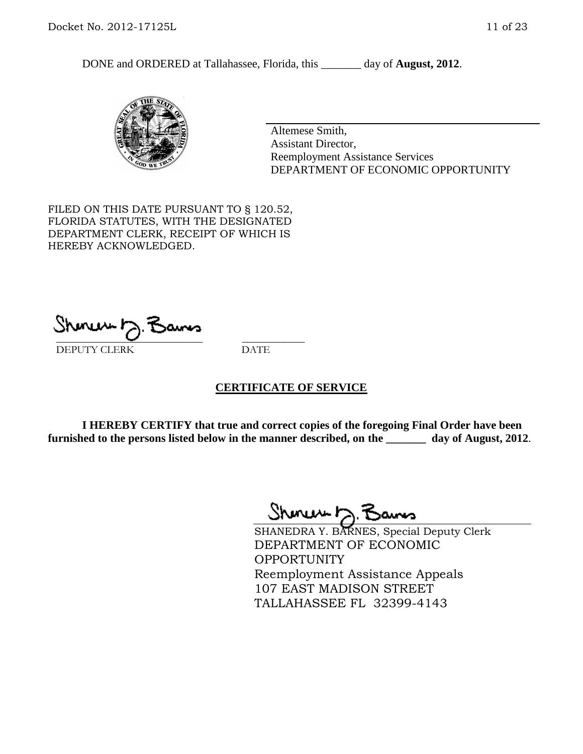DONE and ORDERED at Tallahassee, Florida, this day of **August, 2012**.



Altemese Smith, Assistant Director, Reemployment Assistance Services DEPARTMENT OF ECONOMIC OPPORTUNITY

FILED ON THIS DATE PURSUANT TO § 120.52, FLORIDA STATUTES, WITH THE DESIGNATED DEPARTMENT CLERK, RECEIPT OF WHICH IS HEREBY ACKNOWLEDGED.

unusu h \_\_\_\_\_\_\_\_\_\_\_\_\_\_\_\_\_\_\_\_\_\_\_\_\_\_\_\_ \_\_\_\_\_\_\_\_\_\_\_\_ DEPUTY CLERK DATE

## **CERTIFICATE OF SERVICE**

**I HEREBY CERTIFY that true and correct copies of the foregoing Final Order have been furnished to the persons listed below in the manner described, on the \_\_\_\_\_\_\_ day of August, 2012**.

Shoner D. Baums

SHANEDRA Y. BARNES, Special Deputy Clerk DEPARTMENT OF ECONOMIC OPPORTUNITY Reemployment Assistance Appeals 107 EAST MADISON STREET TALLAHASSEE FL 32399-4143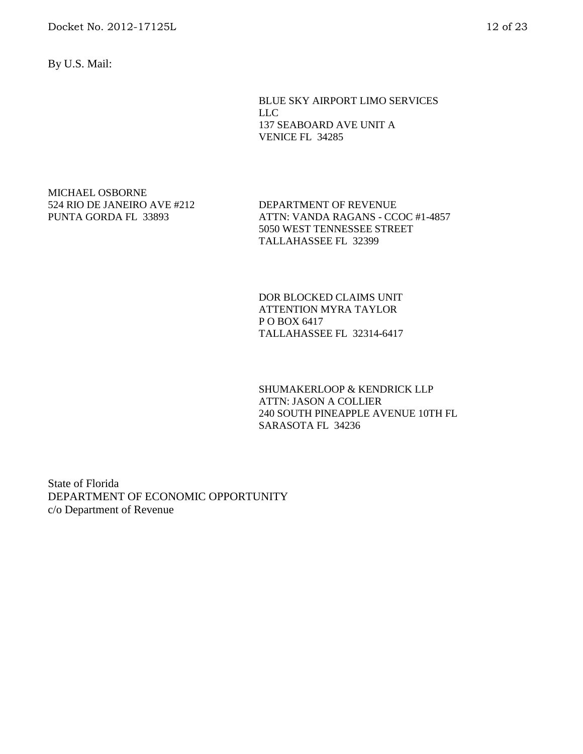Docket No. 2012-17125L 12 of 23

By U.S. Mail:

BLUE SKY AIRPORT LIMO SERVICES LLC 137 SEABOARD AVE UNIT A VENICE FL 34285

### MICHAEL OSBORNE 524 RIO DE JANEIRO AVE #212 PUNTA GORDA FL 33893

DEPARTMENT OF REVENUE ATTN: VANDA RAGANS - CCOC #1-4857 5050 WEST TENNESSEE STREET TALLAHASSEE FL 32399

DOR BLOCKED CLAIMS UNIT ATTENTION MYRA TAYLOR P O BOX 6417 TALLAHASSEE FL 32314-6417

SHUMAKERLOOP & KENDRICK LLP ATTN: JASON A COLLIER 240 SOUTH PINEAPPLE AVENUE 10TH FL SARASOTA FL 34236

State of Florida DEPARTMENT OF ECONOMIC OPPORTUNITY c/o Department of Revenue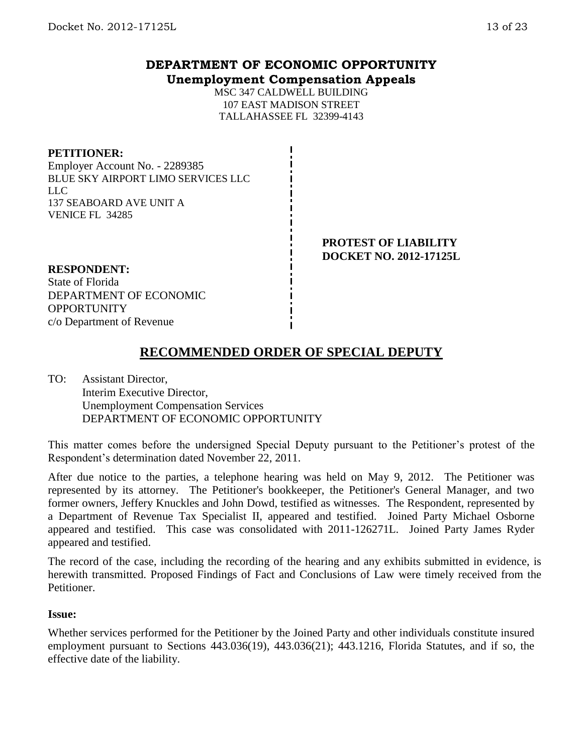## **DEPARTMENT OF ECONOMIC OPPORTUNITY Unemployment Compensation Appeals**

MSC 347 CALDWELL BUILDING 107 EAST MADISON STREET TALLAHASSEE FL 32399-4143

## **PETITIONER:**

Employer Account No. - 2289385 BLUE SKY AIRPORT LIMO SERVICES LLC LLC 137 SEABOARD AVE UNIT A VENICE FL 34285

> **PROTEST OF LIABILITY DOCKET NO. 2012-17125L**

## **RESPONDENT:**

State of Florida DEPARTMENT OF ECONOMIC **OPPORTUNITY** c/o Department of Revenue

# **RECOMMENDED ORDER OF SPECIAL DEPUTY**

TO: Assistant Director, Interim Executive Director, Unemployment Compensation Services DEPARTMENT OF ECONOMIC OPPORTUNITY

This matter comes before the undersigned Special Deputy pursuant to the Petitioner's protest of the Respondent's determination dated November 22, 2011.

After due notice to the parties, a telephone hearing was held on May 9, 2012. The Petitioner was represented by its attorney. The Petitioner's bookkeeper, the Petitioner's General Manager, and two former owners, Jeffery Knuckles and John Dowd, testified as witnesses. The Respondent, represented by a Department of Revenue Tax Specialist II, appeared and testified. Joined Party Michael Osborne appeared and testified. This case was consolidated with 2011-126271L. Joined Party James Ryder appeared and testified.

The record of the case, including the recording of the hearing and any exhibits submitted in evidence, is herewith transmitted. Proposed Findings of Fact and Conclusions of Law were timely received from the Petitioner.

## **Issue:**

Whether services performed for the Petitioner by the Joined Party and other individuals constitute insured employment pursuant to Sections 443.036(19), 443.036(21); 443.1216, Florida Statutes, and if so, the effective date of the liability.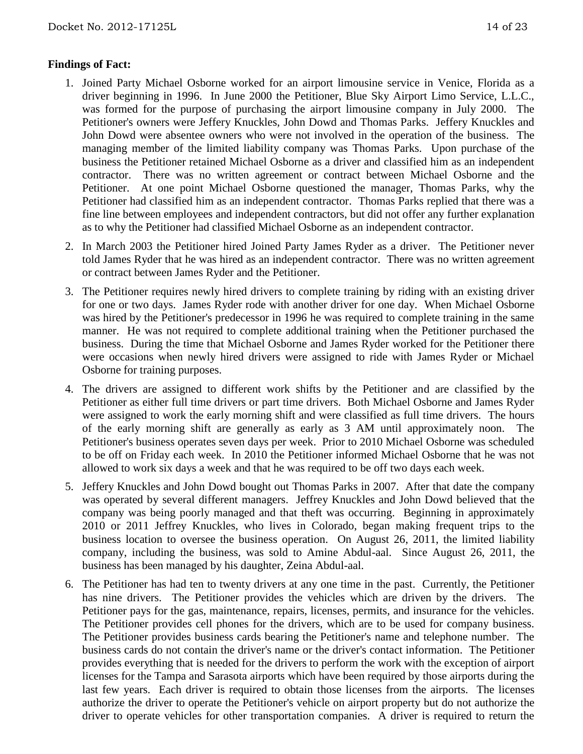## **Findings of Fact:**

- 1. Joined Party Michael Osborne worked for an airport limousine service in Venice, Florida as a driver beginning in 1996. In June 2000 the Petitioner, Blue Sky Airport Limo Service, L.L.C., was formed for the purpose of purchasing the airport limousine company in July 2000. The Petitioner's owners were Jeffery Knuckles, John Dowd and Thomas Parks. Jeffery Knuckles and John Dowd were absentee owners who were not involved in the operation of the business. The managing member of the limited liability company was Thomas Parks. Upon purchase of the business the Petitioner retained Michael Osborne as a driver and classified him as an independent contractor. There was no written agreement or contract between Michael Osborne and the Petitioner. At one point Michael Osborne questioned the manager, Thomas Parks, why the Petitioner had classified him as an independent contractor. Thomas Parks replied that there was a fine line between employees and independent contractors, but did not offer any further explanation as to why the Petitioner had classified Michael Osborne as an independent contractor.
- 2. In March 2003 the Petitioner hired Joined Party James Ryder as a driver. The Petitioner never told James Ryder that he was hired as an independent contractor. There was no written agreement or contract between James Ryder and the Petitioner.
- 3. The Petitioner requires newly hired drivers to complete training by riding with an existing driver for one or two days. James Ryder rode with another driver for one day. When Michael Osborne was hired by the Petitioner's predecessor in 1996 he was required to complete training in the same manner. He was not required to complete additional training when the Petitioner purchased the business. During the time that Michael Osborne and James Ryder worked for the Petitioner there were occasions when newly hired drivers were assigned to ride with James Ryder or Michael Osborne for training purposes.
- 4. The drivers are assigned to different work shifts by the Petitioner and are classified by the Petitioner as either full time drivers or part time drivers. Both Michael Osborne and James Ryder were assigned to work the early morning shift and were classified as full time drivers. The hours of the early morning shift are generally as early as 3 AM until approximately noon. The Petitioner's business operates seven days per week. Prior to 2010 Michael Osborne was scheduled to be off on Friday each week. In 2010 the Petitioner informed Michael Osborne that he was not allowed to work six days a week and that he was required to be off two days each week.
- 5. Jeffery Knuckles and John Dowd bought out Thomas Parks in 2007. After that date the company was operated by several different managers. Jeffrey Knuckles and John Dowd believed that the company was being poorly managed and that theft was occurring. Beginning in approximately 2010 or 2011 Jeffrey Knuckles, who lives in Colorado, began making frequent trips to the business location to oversee the business operation. On August 26, 2011, the limited liability company, including the business, was sold to Amine Abdul-aal. Since August 26, 2011, the business has been managed by his daughter, Zeina Abdul-aal.
- 6. The Petitioner has had ten to twenty drivers at any one time in the past. Currently, the Petitioner has nine drivers. The Petitioner provides the vehicles which are driven by the drivers. The Petitioner pays for the gas, maintenance, repairs, licenses, permits, and insurance for the vehicles. The Petitioner provides cell phones for the drivers, which are to be used for company business. The Petitioner provides business cards bearing the Petitioner's name and telephone number. The business cards do not contain the driver's name or the driver's contact information. The Petitioner provides everything that is needed for the drivers to perform the work with the exception of airport licenses for the Tampa and Sarasota airports which have been required by those airports during the last few years. Each driver is required to obtain those licenses from the airports. The licenses authorize the driver to operate the Petitioner's vehicle on airport property but do not authorize the driver to operate vehicles for other transportation companies. A driver is required to return the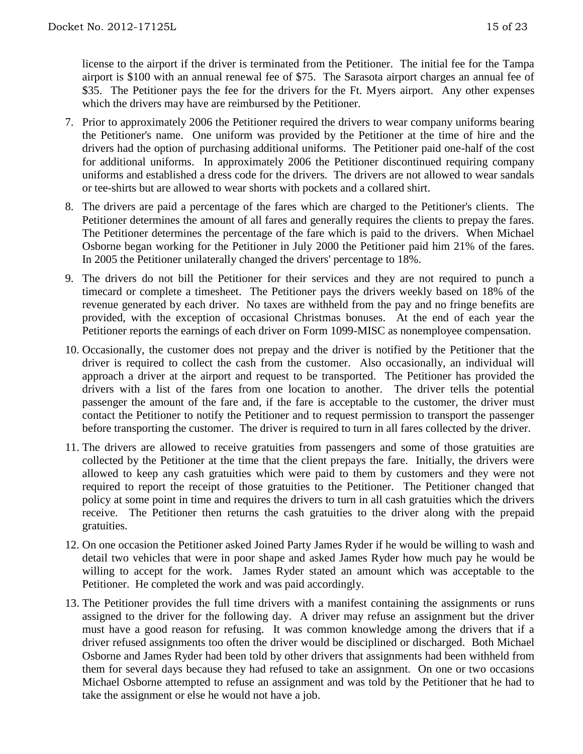license to the airport if the driver is terminated from the Petitioner. The initial fee for the Tampa airport is \$100 with an annual renewal fee of \$75. The Sarasota airport charges an annual fee of \$35. The Petitioner pays the fee for the drivers for the Ft. Myers airport. Any other expenses which the drivers may have are reimbursed by the Petitioner.

- 7. Prior to approximately 2006 the Petitioner required the drivers to wear company uniforms bearing the Petitioner's name. One uniform was provided by the Petitioner at the time of hire and the drivers had the option of purchasing additional uniforms. The Petitioner paid one-half of the cost for additional uniforms. In approximately 2006 the Petitioner discontinued requiring company uniforms and established a dress code for the drivers. The drivers are not allowed to wear sandals or tee-shirts but are allowed to wear shorts with pockets and a collared shirt.
- 8. The drivers are paid a percentage of the fares which are charged to the Petitioner's clients. The Petitioner determines the amount of all fares and generally requires the clients to prepay the fares. The Petitioner determines the percentage of the fare which is paid to the drivers. When Michael Osborne began working for the Petitioner in July 2000 the Petitioner paid him 21% of the fares. In 2005 the Petitioner unilaterally changed the drivers' percentage to 18%.
- 9. The drivers do not bill the Petitioner for their services and they are not required to punch a timecard or complete a timesheet. The Petitioner pays the drivers weekly based on 18% of the revenue generated by each driver. No taxes are withheld from the pay and no fringe benefits are provided, with the exception of occasional Christmas bonuses. At the end of each year the Petitioner reports the earnings of each driver on Form 1099-MISC as nonemployee compensation.
- 10. Occasionally, the customer does not prepay and the driver is notified by the Petitioner that the driver is required to collect the cash from the customer. Also occasionally, an individual will approach a driver at the airport and request to be transported. The Petitioner has provided the drivers with a list of the fares from one location to another. The driver tells the potential passenger the amount of the fare and, if the fare is acceptable to the customer, the driver must contact the Petitioner to notify the Petitioner and to request permission to transport the passenger before transporting the customer. The driver is required to turn in all fares collected by the driver.
- 11. The drivers are allowed to receive gratuities from passengers and some of those gratuities are collected by the Petitioner at the time that the client prepays the fare. Initially, the drivers were allowed to keep any cash gratuities which were paid to them by customers and they were not required to report the receipt of those gratuities to the Petitioner. The Petitioner changed that policy at some point in time and requires the drivers to turn in all cash gratuities which the drivers receive. The Petitioner then returns the cash gratuities to the driver along with the prepaid gratuities.
- 12. On one occasion the Petitioner asked Joined Party James Ryder if he would be willing to wash and detail two vehicles that were in poor shape and asked James Ryder how much pay he would be willing to accept for the work. James Ryder stated an amount which was acceptable to the Petitioner. He completed the work and was paid accordingly.
- 13. The Petitioner provides the full time drivers with a manifest containing the assignments or runs assigned to the driver for the following day. A driver may refuse an assignment but the driver must have a good reason for refusing. It was common knowledge among the drivers that if a driver refused assignments too often the driver would be disciplined or discharged. Both Michael Osborne and James Ryder had been told by other drivers that assignments had been withheld from them for several days because they had refused to take an assignment. On one or two occasions Michael Osborne attempted to refuse an assignment and was told by the Petitioner that he had to take the assignment or else he would not have a job.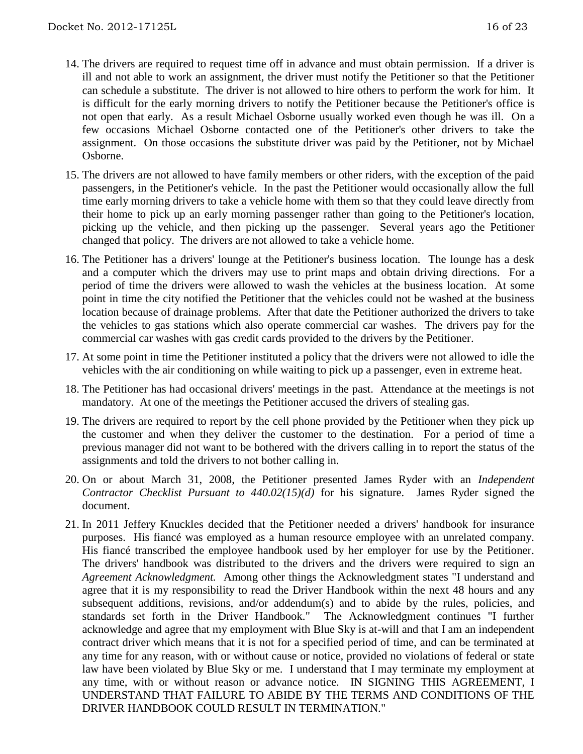- 14. The drivers are required to request time off in advance and must obtain permission. If a driver is ill and not able to work an assignment, the driver must notify the Petitioner so that the Petitioner can schedule a substitute. The driver is not allowed to hire others to perform the work for him. It is difficult for the early morning drivers to notify the Petitioner because the Petitioner's office is not open that early. As a result Michael Osborne usually worked even though he was ill. On a few occasions Michael Osborne contacted one of the Petitioner's other drivers to take the assignment. On those occasions the substitute driver was paid by the Petitioner, not by Michael Osborne.
- 15. The drivers are not allowed to have family members or other riders, with the exception of the paid passengers, in the Petitioner's vehicle. In the past the Petitioner would occasionally allow the full time early morning drivers to take a vehicle home with them so that they could leave directly from their home to pick up an early morning passenger rather than going to the Petitioner's location, picking up the vehicle, and then picking up the passenger. Several years ago the Petitioner changed that policy. The drivers are not allowed to take a vehicle home.
- 16. The Petitioner has a drivers' lounge at the Petitioner's business location. The lounge has a desk and a computer which the drivers may use to print maps and obtain driving directions. For a period of time the drivers were allowed to wash the vehicles at the business location. At some point in time the city notified the Petitioner that the vehicles could not be washed at the business location because of drainage problems. After that date the Petitioner authorized the drivers to take the vehicles to gas stations which also operate commercial car washes. The drivers pay for the commercial car washes with gas credit cards provided to the drivers by the Petitioner.
- 17. At some point in time the Petitioner instituted a policy that the drivers were not allowed to idle the vehicles with the air conditioning on while waiting to pick up a passenger, even in extreme heat.
- 18. The Petitioner has had occasional drivers' meetings in the past. Attendance at the meetings is not mandatory. At one of the meetings the Petitioner accused the drivers of stealing gas.
- 19. The drivers are required to report by the cell phone provided by the Petitioner when they pick up the customer and when they deliver the customer to the destination. For a period of time a previous manager did not want to be bothered with the drivers calling in to report the status of the assignments and told the drivers to not bother calling in.
- 20. On or about March 31, 2008, the Petitioner presented James Ryder with an *Independent Contractor Checklist Pursuant to 440.02(15)(d)* for his signature. James Ryder signed the document.
- 21. In 2011 Jeffery Knuckles decided that the Petitioner needed a drivers' handbook for insurance purposes. His fiancé was employed as a human resource employee with an unrelated company. His fiancé transcribed the employee handbook used by her employer for use by the Petitioner. The drivers' handbook was distributed to the drivers and the drivers were required to sign an *Agreement Acknowledgment.* Among other things the Acknowledgment states "I understand and agree that it is my responsibility to read the Driver Handbook within the next 48 hours and any subsequent additions, revisions, and/or addendum(s) and to abide by the rules, policies, and standards set forth in the Driver Handbook." The Acknowledgment continues "I further acknowledge and agree that my employment with Blue Sky is at-will and that I am an independent contract driver which means that it is not for a specified period of time, and can be terminated at any time for any reason, with or without cause or notice, provided no violations of federal or state law have been violated by Blue Sky or me. I understand that I may terminate my employment at any time, with or without reason or advance notice. IN SIGNING THIS AGREEMENT, I UNDERSTAND THAT FAILURE TO ABIDE BY THE TERMS AND CONDITIONS OF THE DRIVER HANDBOOK COULD RESULT IN TERMINATION."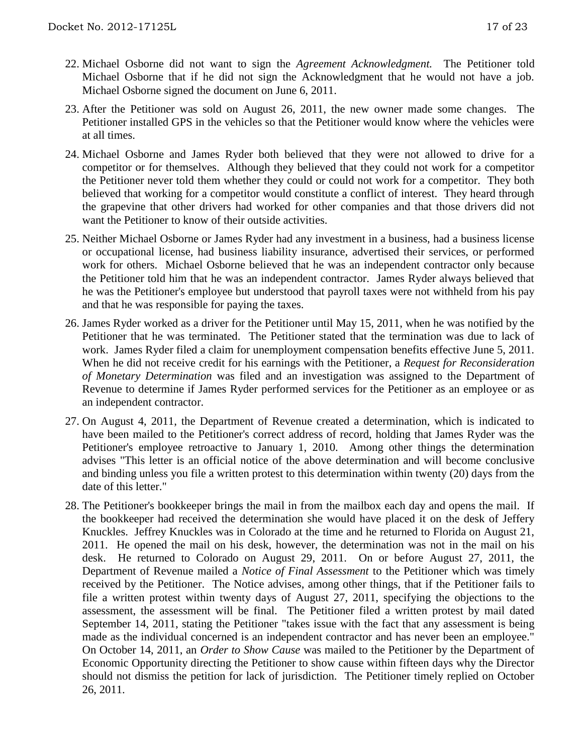- 22. Michael Osborne did not want to sign the *Agreement Acknowledgment.* The Petitioner told Michael Osborne that if he did not sign the Acknowledgment that he would not have a job. Michael Osborne signed the document on June 6, 2011.
- 23. After the Petitioner was sold on August 26, 2011, the new owner made some changes. The Petitioner installed GPS in the vehicles so that the Petitioner would know where the vehicles were at all times.
- 24. Michael Osborne and James Ryder both believed that they were not allowed to drive for a competitor or for themselves. Although they believed that they could not work for a competitor the Petitioner never told them whether they could or could not work for a competitor. They both believed that working for a competitor would constitute a conflict of interest. They heard through the grapevine that other drivers had worked for other companies and that those drivers did not want the Petitioner to know of their outside activities.
- 25. Neither Michael Osborne or James Ryder had any investment in a business, had a business license or occupational license, had business liability insurance, advertised their services, or performed work for others. Michael Osborne believed that he was an independent contractor only because the Petitioner told him that he was an independent contractor. James Ryder always believed that he was the Petitioner's employee but understood that payroll taxes were not withheld from his pay and that he was responsible for paying the taxes.
- 26. James Ryder worked as a driver for the Petitioner until May 15, 2011, when he was notified by the Petitioner that he was terminated. The Petitioner stated that the termination was due to lack of work. James Ryder filed a claim for unemployment compensation benefits effective June 5, 2011. When he did not receive credit for his earnings with the Petitioner, a *Request for Reconsideration of Monetary Determination* was filed and an investigation was assigned to the Department of Revenue to determine if James Ryder performed services for the Petitioner as an employee or as an independent contractor.
- 27. On August 4, 2011, the Department of Revenue created a determination, which is indicated to have been mailed to the Petitioner's correct address of record, holding that James Ryder was the Petitioner's employee retroactive to January 1, 2010. Among other things the determination advises "This letter is an official notice of the above determination and will become conclusive and binding unless you file a written protest to this determination within twenty (20) days from the date of this letter."
- 28. The Petitioner's bookkeeper brings the mail in from the mailbox each day and opens the mail. If the bookkeeper had received the determination she would have placed it on the desk of Jeffery Knuckles. Jeffrey Knuckles was in Colorado at the time and he returned to Florida on August 21, 2011. He opened the mail on his desk, however, the determination was not in the mail on his desk. He returned to Colorado on August 29, 2011. On or before August 27, 2011, the Department of Revenue mailed a *Notice of Final Assessment* to the Petitioner which was timely received by the Petitioner. The Notice advises, among other things, that if the Petitioner fails to file a written protest within twenty days of August 27, 2011, specifying the objections to the assessment, the assessment will be final. The Petitioner filed a written protest by mail dated September 14, 2011, stating the Petitioner "takes issue with the fact that any assessment is being made as the individual concerned is an independent contractor and has never been an employee." On October 14, 2011, an *Order to Show Cause* was mailed to the Petitioner by the Department of Economic Opportunity directing the Petitioner to show cause within fifteen days why the Director should not dismiss the petition for lack of jurisdiction. The Petitioner timely replied on October 26, 2011.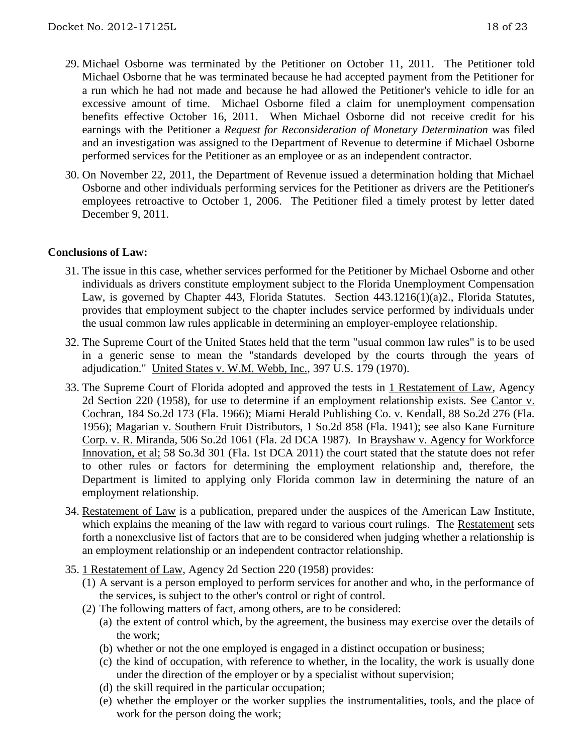- 29. Michael Osborne was terminated by the Petitioner on October 11, 2011. The Petitioner told Michael Osborne that he was terminated because he had accepted payment from the Petitioner for a run which he had not made and because he had allowed the Petitioner's vehicle to idle for an excessive amount of time. Michael Osborne filed a claim for unemployment compensation benefits effective October 16, 2011. When Michael Osborne did not receive credit for his earnings with the Petitioner a *Request for Reconsideration of Monetary Determination* was filed and an investigation was assigned to the Department of Revenue to determine if Michael Osborne performed services for the Petitioner as an employee or as an independent contractor.
- 30. On November 22, 2011, the Department of Revenue issued a determination holding that Michael Osborne and other individuals performing services for the Petitioner as drivers are the Petitioner's employees retroactive to October 1, 2006. The Petitioner filed a timely protest by letter dated December 9, 2011.

## **Conclusions of Law:**

- 31. The issue in this case, whether services performed for the Petitioner by Michael Osborne and other individuals as drivers constitute employment subject to the Florida Unemployment Compensation Law, is governed by Chapter 443, Florida Statutes. Section 443.1216(1)(a)2., Florida Statutes, provides that employment subject to the chapter includes service performed by individuals under the usual common law rules applicable in determining an employer-employee relationship.
- 32. The Supreme Court of the United States held that the term "usual common law rules" is to be used in a generic sense to mean the "standards developed by the courts through the years of adjudication." United States v. W.M. Webb, Inc., 397 U.S. 179 (1970).
- 33. The Supreme Court of Florida adopted and approved the tests in 1 Restatement of Law, Agency 2d Section 220 (1958), for use to determine if an employment relationship exists. See Cantor v. Cochran, 184 So.2d 173 (Fla. 1966); Miami Herald Publishing Co. v. Kendall, 88 So.2d 276 (Fla. 1956); Magarian v. Southern Fruit Distributors, 1 So.2d 858 (Fla. 1941); see also Kane Furniture Corp. v. R. Miranda, 506 So.2d 1061 (Fla. 2d DCA 1987). In Brayshaw v. Agency for Workforce Innovation, et al; 58 So.3d 301 (Fla. 1st DCA 2011) the court stated that the statute does not refer to other rules or factors for determining the employment relationship and, therefore, the Department is limited to applying only Florida common law in determining the nature of an employment relationship.
- 34. Restatement of Law is a publication, prepared under the auspices of the American Law Institute, which explains the meaning of the law with regard to various court rulings. The Restatement sets forth a nonexclusive list of factors that are to be considered when judging whether a relationship is an employment relationship or an independent contractor relationship.
- 35. 1 Restatement of Law, Agency 2d Section 220 (1958) provides:
	- (1) A servant is a person employed to perform services for another and who, in the performance of the services, is subject to the other's control or right of control.
	- (2) The following matters of fact, among others, are to be considered:
		- (a) the extent of control which, by the agreement, the business may exercise over the details of the work;
		- (b) whether or not the one employed is engaged in a distinct occupation or business;
		- (c) the kind of occupation, with reference to whether, in the locality, the work is usually done under the direction of the employer or by a specialist without supervision;
		- (d) the skill required in the particular occupation;
		- (e) whether the employer or the worker supplies the instrumentalities, tools, and the place of work for the person doing the work;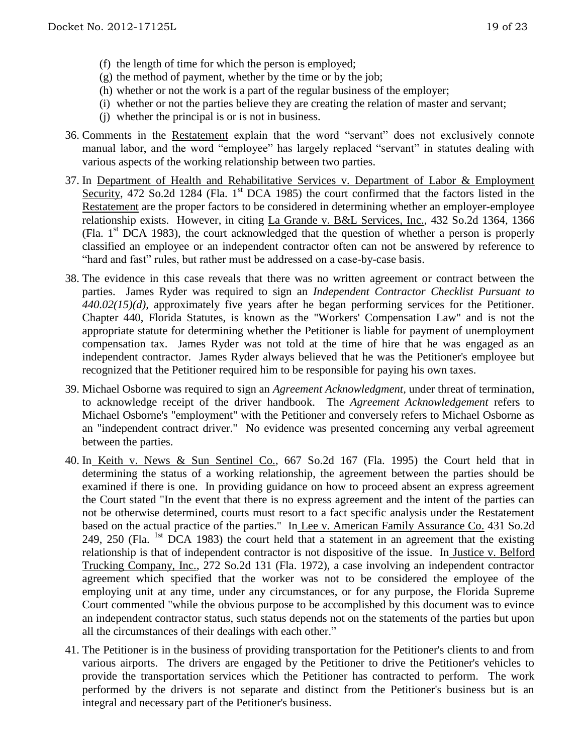- (f) the length of time for which the person is employed;
- $(g)$  the method of payment, whether by the time or by the job;
- (h) whether or not the work is a part of the regular business of the employer;
- (i) whether or not the parties believe they are creating the relation of master and servant;
- (j) whether the principal is or is not in business.
- 36. Comments in the Restatement explain that the word "servant" does not exclusively connote manual labor, and the word "employee" has largely replaced "servant" in statutes dealing with various aspects of the working relationship between two parties.
- 37. In Department of Health and Rehabilitative Services v. Department of Labor & Employment Security, 472 So.2d 1284 (Fla. 1<sup>st</sup> DCA 1985) the court confirmed that the factors listed in the Restatement are the proper factors to be considered in determining whether an employer-employee relationship exists. However, in citing La Grande v. B&L Services, Inc., 432 So.2d 1364, 1366 (Fla.  $1<sup>st</sup>$  DCA 1983), the court acknowledged that the question of whether a person is properly classified an employee or an independent contractor often can not be answered by reference to "hard and fast" rules, but rather must be addressed on a case-by-case basis.
- 38. The evidence in this case reveals that there was no written agreement or contract between the parties. James Ryder was required to sign an *Independent Contractor Checklist Pursuant to 440.02(15)(d),* approximately five years after he began performing services for the Petitioner. Chapter 440, Florida Statutes, is known as the "Workers' Compensation Law" and is not the appropriate statute for determining whether the Petitioner is liable for payment of unemployment compensation tax. James Ryder was not told at the time of hire that he was engaged as an independent contractor. James Ryder always believed that he was the Petitioner's employee but recognized that the Petitioner required him to be responsible for paying his own taxes.
- 39. Michael Osborne was required to sign an *Agreement Acknowledgment,* under threat of termination, to acknowledge receipt of the driver handbook. The *Agreement Acknowledgement* refers to Michael Osborne's "employment" with the Petitioner and conversely refers to Michael Osborne as an "independent contract driver." No evidence was presented concerning any verbal agreement between the parties.
- 40. In Keith v. News & Sun Sentinel Co., 667 So.2d 167 (Fla. 1995) the Court held that in determining the status of a working relationship, the agreement between the parties should be examined if there is one. In providing guidance on how to proceed absent an express agreement the Court stated "In the event that there is no express agreement and the intent of the parties can not be otherwise determined, courts must resort to a fact specific analysis under the Restatement based on the actual practice of the parties." In Lee v. American Family Assurance Co. 431 So.2d 249, 250 (Fla. <sup>1st</sup> DCA 1983) the court held that a statement in an agreement that the existing relationship is that of independent contractor is not dispositive of the issue. In Justice v. Belford Trucking Company, Inc., 272 So.2d 131 (Fla. 1972), a case involving an independent contractor agreement which specified that the worker was not to be considered the employee of the employing unit at any time, under any circumstances, or for any purpose, the Florida Supreme Court commented "while the obvious purpose to be accomplished by this document was to evince an independent contractor status, such status depends not on the statements of the parties but upon all the circumstances of their dealings with each other."
- 41. The Petitioner is in the business of providing transportation for the Petitioner's clients to and from various airports. The drivers are engaged by the Petitioner to drive the Petitioner's vehicles to provide the transportation services which the Petitioner has contracted to perform. The work performed by the drivers is not separate and distinct from the Petitioner's business but is an integral and necessary part of the Petitioner's business.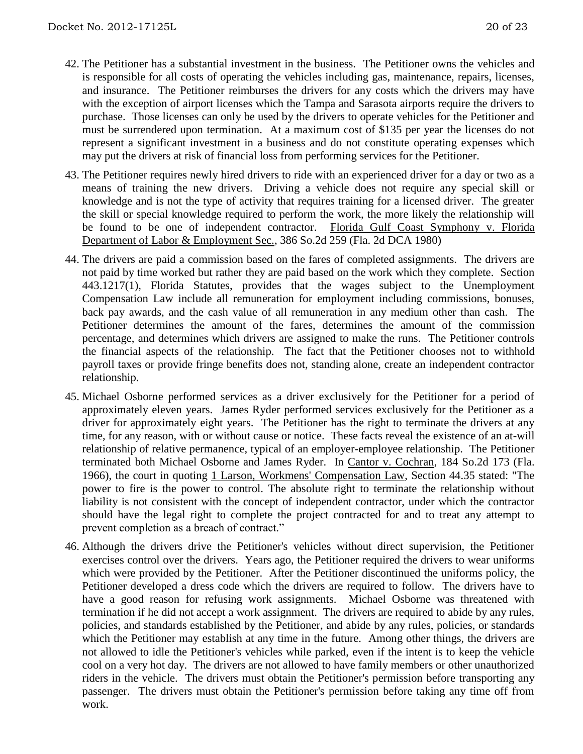- 42. The Petitioner has a substantial investment in the business. The Petitioner owns the vehicles and is responsible for all costs of operating the vehicles including gas, maintenance, repairs, licenses, and insurance. The Petitioner reimburses the drivers for any costs which the drivers may have with the exception of airport licenses which the Tampa and Sarasota airports require the drivers to purchase. Those licenses can only be used by the drivers to operate vehicles for the Petitioner and must be surrendered upon termination. At a maximum cost of \$135 per year the licenses do not represent a significant investment in a business and do not constitute operating expenses which may put the drivers at risk of financial loss from performing services for the Petitioner.
- 43. The Petitioner requires newly hired drivers to ride with an experienced driver for a day or two as a means of training the new drivers. Driving a vehicle does not require any special skill or knowledge and is not the type of activity that requires training for a licensed driver. The greater the skill or special knowledge required to perform the work, the more likely the relationship will be found to be one of independent contractor. Florida Gulf Coast Symphony v. Florida Department of Labor & Employment Sec., 386 So.2d 259 (Fla. 2d DCA 1980)
- 44. The drivers are paid a commission based on the fares of completed assignments. The drivers are not paid by time worked but rather they are paid based on the work which they complete. Section 443.1217(1), Florida Statutes, provides that the wages subject to the Unemployment Compensation Law include all remuneration for employment including commissions, bonuses, back pay awards, and the cash value of all remuneration in any medium other than cash. The Petitioner determines the amount of the fares, determines the amount of the commission percentage, and determines which drivers are assigned to make the runs. The Petitioner controls the financial aspects of the relationship. The fact that the Petitioner chooses not to withhold payroll taxes or provide fringe benefits does not, standing alone, create an independent contractor relationship.
- 45. Michael Osborne performed services as a driver exclusively for the Petitioner for a period of approximately eleven years. James Ryder performed services exclusively for the Petitioner as a driver for approximately eight years. The Petitioner has the right to terminate the drivers at any time, for any reason, with or without cause or notice. These facts reveal the existence of an at-will relationship of relative permanence, typical of an employer-employee relationship. The Petitioner terminated both Michael Osborne and James Ryder. In Cantor v. Cochran, 184 So.2d 173 (Fla. 1966), the court in quoting 1 Larson, Workmens' Compensation Law, Section 44.35 stated: "The power to fire is the power to control. The absolute right to terminate the relationship without liability is not consistent with the concept of independent contractor, under which the contractor should have the legal right to complete the project contracted for and to treat any attempt to prevent completion as a breach of contract."
- 46. Although the drivers drive the Petitioner's vehicles without direct supervision, the Petitioner exercises control over the drivers. Years ago, the Petitioner required the drivers to wear uniforms which were provided by the Petitioner. After the Petitioner discontinued the uniforms policy, the Petitioner developed a dress code which the drivers are required to follow. The drivers have to have a good reason for refusing work assignments. Michael Osborne was threatened with termination if he did not accept a work assignment. The drivers are required to abide by any rules, policies, and standards established by the Petitioner, and abide by any rules, policies, or standards which the Petitioner may establish at any time in the future. Among other things, the drivers are not allowed to idle the Petitioner's vehicles while parked, even if the intent is to keep the vehicle cool on a very hot day. The drivers are not allowed to have family members or other unauthorized riders in the vehicle. The drivers must obtain the Petitioner's permission before transporting any passenger. The drivers must obtain the Petitioner's permission before taking any time off from work.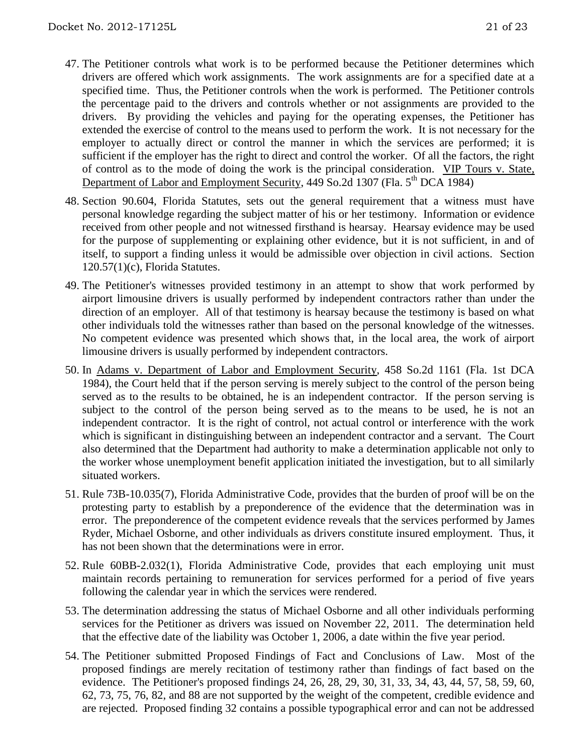- 47. The Petitioner controls what work is to be performed because the Petitioner determines which drivers are offered which work assignments. The work assignments are for a specified date at a specified time. Thus, the Petitioner controls when the work is performed. The Petitioner controls the percentage paid to the drivers and controls whether or not assignments are provided to the drivers. By providing the vehicles and paying for the operating expenses, the Petitioner has extended the exercise of control to the means used to perform the work. It is not necessary for the employer to actually direct or control the manner in which the services are performed; it is sufficient if the employer has the right to direct and control the worker. Of all the factors, the right of control as to the mode of doing the work is the principal consideration. VIP Tours v. State, Department of Labor and Employment Security, 449 So.2d 1307 (Fla. 5<sup>th</sup> DCA 1984)
- 48. Section 90.604, Florida Statutes, sets out the general requirement that a witness must have personal knowledge regarding the subject matter of his or her testimony. Information or evidence received from other people and not witnessed firsthand is hearsay. Hearsay evidence may be used for the purpose of supplementing or explaining other evidence, but it is not sufficient, in and of itself, to support a finding unless it would be admissible over objection in civil actions. Section 120.57(1)(c), Florida Statutes.
- 49. The Petitioner's witnesses provided testimony in an attempt to show that work performed by airport limousine drivers is usually performed by independent contractors rather than under the direction of an employer. All of that testimony is hearsay because the testimony is based on what other individuals told the witnesses rather than based on the personal knowledge of the witnesses. No competent evidence was presented which shows that, in the local area, the work of airport limousine drivers is usually performed by independent contractors.
- 50. In Adams v. Department of Labor and Employment Security, 458 So.2d 1161 (Fla. 1st DCA 1984), the Court held that if the person serving is merely subject to the control of the person being served as to the results to be obtained, he is an independent contractor. If the person serving is subject to the control of the person being served as to the means to be used, he is not an independent contractor. It is the right of control, not actual control or interference with the work which is significant in distinguishing between an independent contractor and a servant. The Court also determined that the Department had authority to make a determination applicable not only to the worker whose unemployment benefit application initiated the investigation, but to all similarly situated workers.
- 51. Rule 73B-10.035(7), Florida Administrative Code, provides that the burden of proof will be on the protesting party to establish by a preponderence of the evidence that the determination was in error. The preponderence of the competent evidence reveals that the services performed by James Ryder, Michael Osborne, and other individuals as drivers constitute insured employment. Thus, it has not been shown that the determinations were in error.
- 52. Rule 60BB-2.032(1), Florida Administrative Code, provides that each employing unit must maintain records pertaining to remuneration for services performed for a period of five years following the calendar year in which the services were rendered.
- 53. The determination addressing the status of Michael Osborne and all other individuals performing services for the Petitioner as drivers was issued on November 22, 2011. The determination held that the effective date of the liability was October 1, 2006, a date within the five year period.
- 54. The Petitioner submitted Proposed Findings of Fact and Conclusions of Law. Most of the proposed findings are merely recitation of testimony rather than findings of fact based on the evidence. The Petitioner's proposed findings 24, 26, 28, 29, 30, 31, 33, 34, 43, 44, 57, 58, 59, 60, 62, 73, 75, 76, 82, and 88 are not supported by the weight of the competent, credible evidence and are rejected. Proposed finding 32 contains a possible typographical error and can not be addressed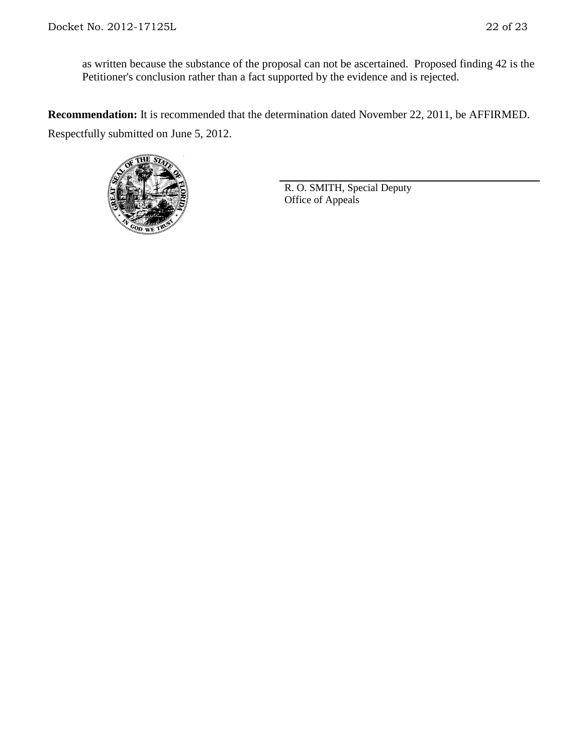as written because the substance of the proposal can not be ascertained. Proposed finding 42 is the Petitioner's conclusion rather than a fact supported by the evidence and is rejected.

**Recommendation:** It is recommended that the determination dated November 22, 2011, be AFFIRMED. Respectfully submitted on June 5, 2012.



R. O. SMITH, Special Deputy Office of Appeals